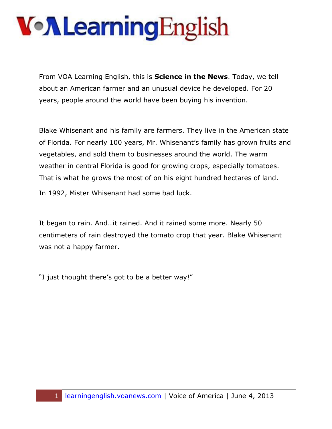From VOA Learning English, this is **Science in the News**. Today, we tell about an American farmer and an unusual device he developed. For 20 years, people around the world have been buying his invention.

Blake Whisenant and his family are farmers. They live in the American state of Florida. For nearly 100 years, Mr. Whisenant's family has grown fruits and vegetables, and sold them to businesses around the world. The warm weather in central Florida is good for growing crops, especially tomatoes. That is what he grows the most of on his eight hundred hectares of land. In 1992, Mister Whisenant had some bad luck.

It began to rain. And…it rained. And it rained some more. Nearly 50 centimeters of rain destroyed the tomato crop that year. Blake Whisenant was not a happy farmer.

"I just thought there's got to be a better way!"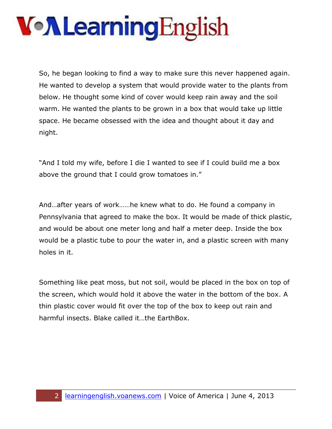So, he began looking to find a way to make sure this never happened again. He wanted to develop a system that would provide water to the plants from below. He thought some kind of cover would keep rain away and the soil warm. He wanted the plants to be grown in a box that would take up little space. He became obsessed with the idea and thought about it day and night.

"And I told my wife, before I die I wanted to see if I could build me a box above the ground that I could grow tomatoes in."

And…after years of work……he knew what to do. He found a company in Pennsylvania that agreed to make the box. It would be made of thick plastic, and would be about one meter long and half a meter deep. Inside the box would be a plastic tube to pour the water in, and a plastic screen with many holes in it.

Something like peat moss, but not soil, would be placed in the box on top of the screen, which would hold it above the water in the bottom of the box. A thin plastic cover would fit over the top of the box to keep out rain and harmful insects. Blake called it…the EarthBox.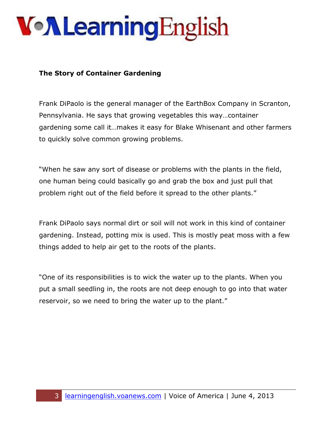#### **The Story of Container Gardening**

Frank DiPaolo is the general manager of the EarthBox Company in Scranton, Pennsylvania. He says that growing vegetables this way…container gardening some call it…makes it easy for Blake Whisenant and other farmers to quickly solve common growing problems.

"When he saw any sort of disease or problems with the plants in the field, one human being could basically go and grab the box and just pull that problem right out of the field before it spread to the other plants."

Frank DiPaolo says normal dirt or soil will not work in this kind of container gardening. Instead, potting mix is used. This is mostly peat moss with a few things added to help air get to the roots of the plants.

"One of its responsibilities is to wick the water up to the plants. When you put a small seedling in, the roots are not deep enough to go into that water reservoir, so we need to bring the water up to the plant."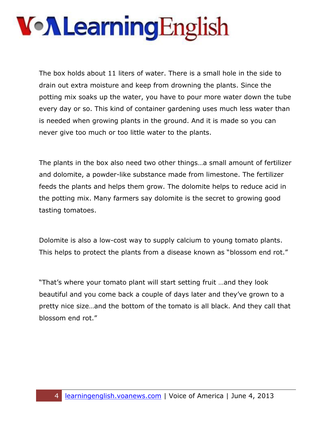The box holds about 11 liters of water. There is a small hole in the side to drain out extra moisture and keep from drowning the plants. Since the potting mix soaks up the water, you have to pour more water down the tube every day or so. This kind of container gardening uses much less water than is needed when growing plants in the ground. And it is made so you can never give too much or too little water to the plants.

The plants in the box also need two other things…a small amount of fertilizer and dolomite, a powder-like substance made from limestone. The fertilizer feeds the plants and helps them grow. The dolomite helps to reduce acid in the potting mix. Many farmers say dolomite is the secret to growing good tasting tomatoes.

Dolomite is also a low-cost way to supply calcium to young tomato plants. This helps to protect the plants from a disease known as "blossom end rot."

"That's where your tomato plant will start setting fruit …and they look beautiful and you come back a couple of days later and they've grown to a pretty nice size…and the bottom of the tomato is all black. And they call that blossom end rot."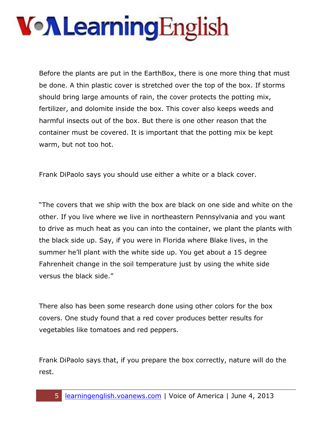Before the plants are put in the EarthBox, there is one more thing that must be done. A thin plastic cover is stretched over the top of the box. If storms should bring large amounts of rain, the cover protects the potting mix, fertilizer, and dolomite inside the box. This cover also keeps weeds and harmful insects out of the box. But there is one other reason that the container must be covered. It is important that the potting mix be kept warm, but not too hot.

Frank DiPaolo says you should use either a white or a black cover.

"The covers that we ship with the box are black on one side and white on the other. If you live where we live in northeastern Pennsylvania and you want to drive as much heat as you can into the container, we plant the plants with the black side up. Say, if you were in Florida where Blake lives, in the summer he'll plant with the white side up. You get about a 15 degree Fahrenheit change in the soil temperature just by using the white side versus the black side."

There also has been some research done using other colors for the box covers. One study found that a red cover produces better results for vegetables like tomatoes and red peppers.

Frank DiPaolo says that, if you prepare the box correctly, nature will do the rest.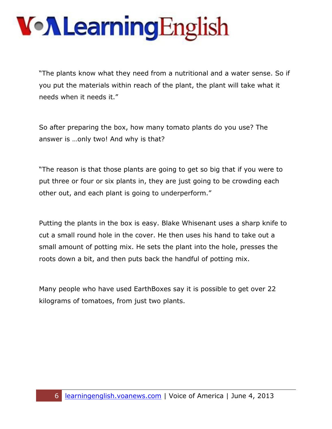"The plants know what they need from a nutritional and a water sense. So if you put the materials within reach of the plant, the plant will take what it needs when it needs it."

So after preparing the box, how many tomato plants do you use? The answer is …only two! And why is that?

"The reason is that those plants are going to get so big that if you were to put three or four or six plants in, they are just going to be crowding each other out, and each plant is going to underperform."

Putting the plants in the box is easy. Blake Whisenant uses a sharp knife to cut a small round hole in the cover. He then uses his hand to take out a small amount of potting mix. He sets the plant into the hole, presses the roots down a bit, and then puts back the handful of potting mix.

Many people who have used EarthBoxes say it is possible to get over 22 kilograms of tomatoes, from just two plants.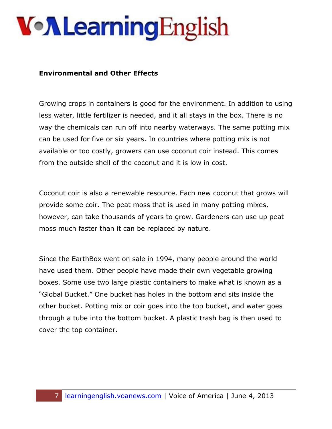#### **Environmental and Other Effects**

Growing crops in containers is good for the environment. In addition to using less water, little fertilizer is needed, and it all stays in the box. There is no way the chemicals can run off into nearby waterways. The same potting mix can be used for five or six years. In countries where potting mix is not available or too costly, growers can use coconut coir instead. This comes from the outside shell of the coconut and it is low in cost.

Coconut coir is also a renewable resource. Each new coconut that grows will provide some coir. The peat moss that is used in many potting mixes, however, can take thousands of years to grow. Gardeners can use up peat moss much faster than it can be replaced by nature.

Since the EarthBox went on sale in 1994, many people around the world have used them. Other people have made their own vegetable growing boxes. Some use two large plastic containers to make what is known as a "Global Bucket." One bucket has holes in the bottom and sits inside the other bucket. Potting mix or coir goes into the top bucket, and water goes through a tube into the bottom bucket. A plastic trash bag is then used to cover the top container.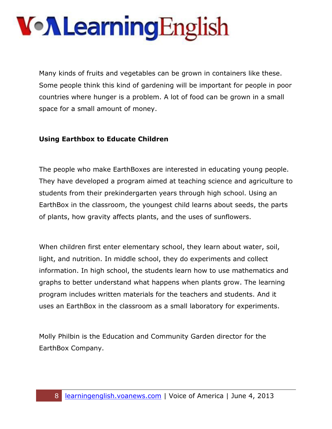Many kinds of fruits and vegetables can be grown in containers like these. Some people think this kind of gardening will be important for people in poor countries where hunger is a problem. A lot of food can be grown in a small space for a small amount of money.

#### **Using Earthbox to Educate Children**

The people who make EarthBoxes are interested in educating young people. They have developed a program aimed at teaching science and agriculture to students from their prekindergarten years through high school. Using an EarthBox in the classroom, the youngest child learns about seeds, the parts of plants, how gravity affects plants, and the uses of sunflowers.

When children first enter elementary school, they learn about water, soil, light, and nutrition. In middle school, they do experiments and collect information. In high school, the students learn how to use mathematics and graphs to better understand what happens when plants grow. The learning program includes written materials for the teachers and students. And it uses an EarthBox in the classroom as a small laboratory for experiments.

Molly Philbin is the Education and Community Garden director for the EarthBox Company.